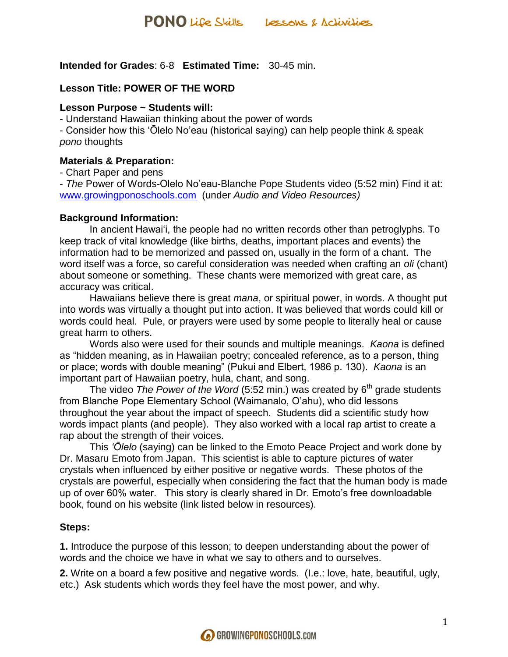**Intended for Grades**: 6-8 **Estimated Time:** 30-45 min.

#### **Lesson Title: POWER OF THE WORD**

#### **Lesson Purpose ~ Students will:**

- Understand Hawaiian thinking about the power of words

- Consider how this 'Ōlelo No'eau (historical saying) can help people think & speak *pono* thoughts

#### **Materials & Preparation:**

- Chart Paper and pens

- *The* Power of Words-Olelo No'eau-Blanche Pope Students video (5:52 min) Find it at: [www.growingponoschools.com](http://www.growingponoschools.com/) (under *Audio and Video Resources)*

#### **Background Information:**

In ancient Hawai'i, the people had no written records other than petroglyphs. To keep track of vital knowledge (like births, deaths, important places and events) the information had to be memorized and passed on, usually in the form of a chant. The word itself was a force, so careful consideration was needed when crafting an *oli* (chant) about someone or something. These chants were memorized with great care, as accuracy was critical.

Hawaiians believe there is great *mana*, or spiritual power, in words. A thought put into words was virtually a thought put into action. It was believed that words could kill or words could heal. Pule, or prayers were used by some people to literally heal or cause great harm to others.

Words also were used for their sounds and multiple meanings. *Kaona* is defined as "hidden meaning, as in Hawaiian poetry; concealed reference, as to a person, thing or place; words with double meaning" (Pukui and Elbert, 1986 p. 130). *Kaona* is an important part of Hawaiian poetry, hula, chant, and song.

The video *The Power of the Word* (5:52 min.) was created by 6<sup>th</sup> grade students from Blanche Pope Elementary School (Waimanalo, O'ahu), who did lessons throughout the year about the impact of speech. Students did a scientific study how words impact plants (and people). They also worked with a local rap artist to create a rap about the strength of their voices.

This *'Ōlelo* (saying) can be linked to the Emoto Peace Project and work done by Dr. Masaru Emoto from Japan. This scientist is able to capture pictures of water crystals when influenced by either positive or negative words. These photos of the crystals are powerful, especially when considering the fact that the human body is made up of over 60% water. This story is clearly shared in Dr. Emoto's free downloadable book, found on his website (link listed below in resources).

#### **Steps:**

**1.** Introduce the purpose of this lesson; to deepen understanding about the power of words and the choice we have in what we say to others and to ourselves.

**2.** Write on a board a few positive and negative words. (I.e.: love, hate, beautiful, ugly, etc.) Ask students which words they feel have the most power, and why.

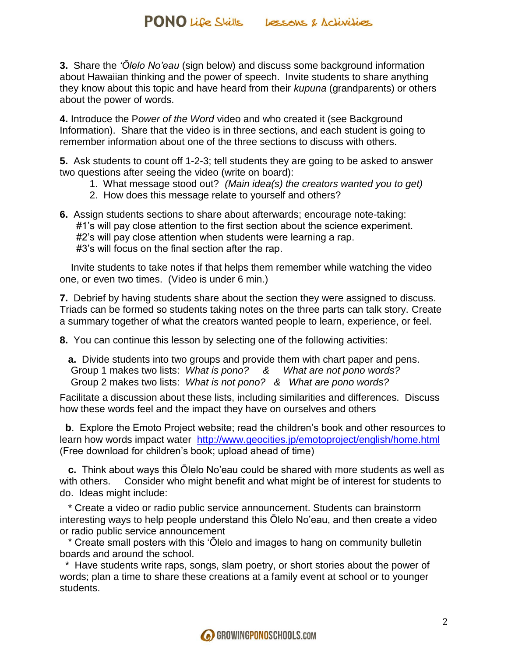**3.** Share the *'Ōlelo No'eau* (sign below) and discuss some background information about Hawaiian thinking and the power of speech. Invite students to share anything they know about this topic and have heard from their *kupuna* (grandparents) or others about the power of words.

**4.** Introduce the P*ower of the Word* video and who created it (see Background Information). Share that the video is in three sections, and each student is going to remember information about one of the three sections to discuss with others.

**5.** Ask students to count off 1-2-3; tell students they are going to be asked to answer two questions after seeing the video (write on board):

- 1. What message stood out? *(Main idea(s) the creators wanted you to get)*
- 2. How does this message relate to yourself and others?
- **6.** Assign students sections to share about afterwards; encourage note-taking: #1's will pay close attention to the first section about the science experiment. #2's will pay close attention when students were learning a rap. #3's will focus on the final section after the rap.

 Invite students to take notes if that helps them remember while watching the video one, or even two times. (Video is under 6 min.)

**7.** Debrief by having students share about the section they were assigned to discuss. Triads can be formed so students taking notes on the three parts can talk story. Create a summary together of what the creators wanted people to learn, experience, or feel.

**8.** You can continue this lesson by selecting one of the following activities:

 **a.** Divide students into two groups and provide them with chart paper and pens. Group 1 makes two lists: *What is pono? & What are not pono words?* Group 2 makes two lists: *What is not pono? & What are pono words?*

Facilitate a discussion about these lists, including similarities and differences. Discuss how these words feel and the impact they have on ourselves and others

**b**. Explore the Emoto Project website; read the children's book and other resources to learn how words impact water <http://www.geocities.jp/emotoproject/english/home.html> (Free download for children's book; upload ahead of time)

 **c.** Think about ways this Ōlelo No'eau could be shared with more students as well as with others. Consider who might benefit and what might be of interest for students to do. Ideas might include:

 \* Create a video or radio public service announcement. Students can brainstorm interesting ways to help people understand this Ōlelo No'eau, and then create a video or radio public service announcement

 \* Create small posters with this 'Ōlelo and images to hang on community bulletin boards and around the school.

 \* Have students write raps, songs, slam poetry, or short stories about the power of words; plan a time to share these creations at a family event at school or to younger students.

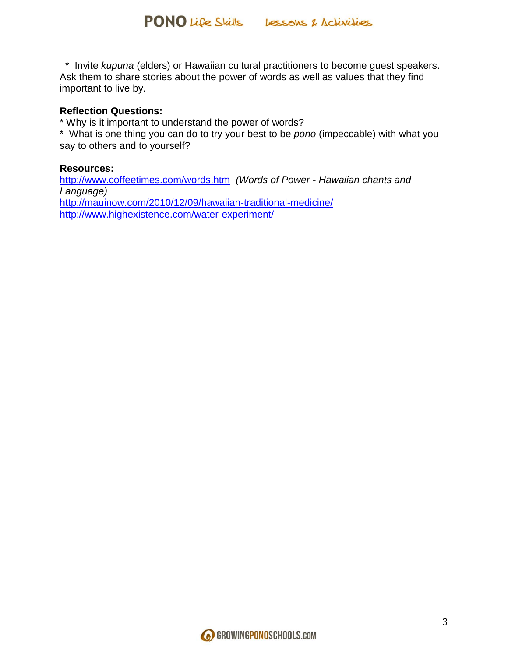\* Invite *kupuna* (elders) or Hawaiian cultural practitioners to become guest speakers. Ask them to share stories about the power of words as well as values that they find important to live by.

#### **Reflection Questions:**

\* Why is it important to understand the power of words?

\* What is one thing you can do to try your best to be *pono* (impeccable) with what you say to others and to yourself?

#### **Resources:**

<http://www.coffeetimes.com/words.htm>*(Words of Power - Hawaiian chants and Language)* <http://mauinow.com/2010/12/09/hawaiian-traditional-medicine/> <http://www.highexistence.com/water-experiment/>